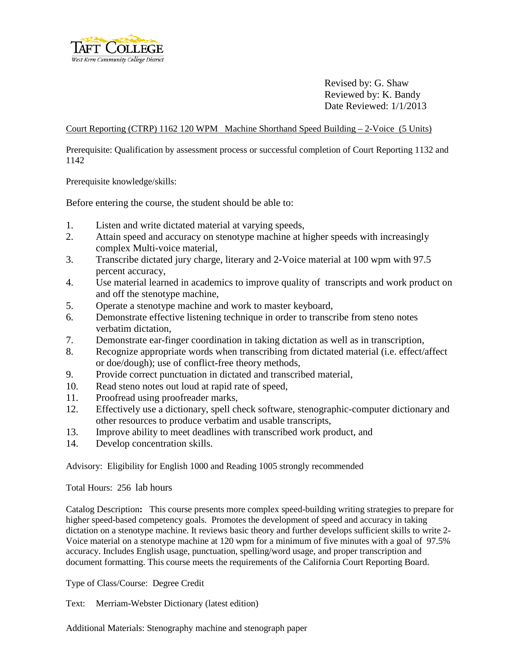

Revised by: G. Shaw Reviewed by: K. Bandy Date Reviewed: 1/1/2013

Court Reporting (CTRP) 1162 120 WPM Machine Shorthand Speed Building – 2-Voice (5 Units)

Prerequisite: Qualification by assessment process or successful completion of Court Reporting 1132 and 1142

Prerequisite knowledge/skills:

Before entering the course, the student should be able to:

- 1. Listen and write dictated material at varying speeds,
- 2. Attain speed and accuracy on stenotype machine at higher speeds with increasingly complex Multi-voice material,
- 3. Transcribe dictated jury charge, literary and 2-Voice material at 100 wpm with 97.5 percent accuracy,
- 4. Use material learned in academics to improve quality of transcripts and work product on and off the stenotype machine,
- 5. Operate a stenotype machine and work to master keyboard,
- 6. Demonstrate effective listening technique in order to transcribe from steno notes verbatim dictation,
- 7. Demonstrate ear-finger coordination in taking dictation as well as in transcription,
- 8. Recognize appropriate words when transcribing from dictated material (i.e. effect/affect or doe/dough); use of conflict-free theory methods,
- 9. Provide correct punctuation in dictated and transcribed material,
- 10. Read steno notes out loud at rapid rate of speed,
- 11. Proofread using proofreader marks,
- 12. Effectively use a dictionary, spell check software, stenographic-computer dictionary and other resources to produce verbatim and usable transcripts,
- 13. Improve ability to meet deadlines with transcribed work product, and
- 14. Develop concentration skills.

Advisory: Eligibility for English 1000 and Reading 1005 strongly recommended

Total Hours: 256 lab hours

Catalog Description**:** This course presents more complex speed-building writing strategies to prepare for higher speed-based competency goals. Promotes the development of speed and accuracy in taking dictation on a stenotype machine. It reviews basic theory and further develops sufficient skills to write 2- Voice material on a stenotype machine at 120 wpm for a minimum of five minutes with a goal of 97.5% accuracy. Includes English usage, punctuation, spelling/word usage, and proper transcription and document formatting. This course meets the requirements of the California Court Reporting Board.

Type of Class/Course: Degree Credit

Text: Merriam-Webster Dictionary (latest edition)

Additional Materials: Stenography machine and stenograph paper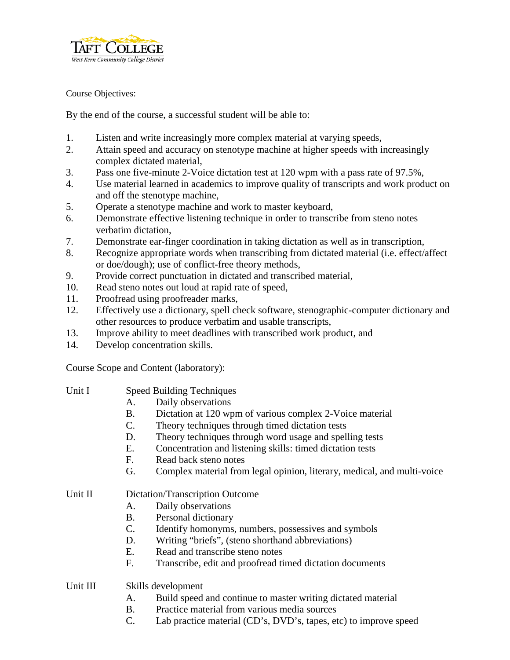

Course Objectives:

By the end of the course, a successful student will be able to:

- 1. Listen and write increasingly more complex material at varying speeds,
- 2. Attain speed and accuracy on stenotype machine at higher speeds with increasingly complex dictated material,
- 3. Pass one five-minute 2-Voice dictation test at 120 wpm with a pass rate of 97.5%,
- 4. Use material learned in academics to improve quality of transcripts and work product on and off the stenotype machine,
- 5. Operate a stenotype machine and work to master keyboard,
- 6. Demonstrate effective listening technique in order to transcribe from steno notes verbatim dictation,
- 7. Demonstrate ear-finger coordination in taking dictation as well as in transcription,
- 8. Recognize appropriate words when transcribing from dictated material (i.e. effect/affect or doe/dough); use of conflict-free theory methods,
- 9. Provide correct punctuation in dictated and transcribed material,
- 10. Read steno notes out loud at rapid rate of speed,
- 11. Proofread using proofreader marks,
- 12. Effectively use a dictionary, spell check software, stenographic-computer dictionary and other resources to produce verbatim and usable transcripts,
- 13. Improve ability to meet deadlines with transcribed work product, and
- 14. Develop concentration skills.

Course Scope and Content (laboratory):

- Unit I Speed Building Techniques
	- A. Daily observations
	- B. Dictation at 120 wpm of various complex 2-Voice material
	- C. Theory techniques through timed dictation tests
	- D. Theory techniques through word usage and spelling tests
	- E. Concentration and listening skills: timed dictation tests
	- F. Read back steno notes
	- G. Complex material from legal opinion, literary, medical, and multi-voice

## Unit II Dictation/Transcription Outcome

- A. Daily observations
- B. Personal dictionary
- C. Identify homonyms, numbers, possessives and symbols
- D. Writing "briefs", (steno shorthand abbreviations)
- E. Read and transcribe steno notes
- F. Transcribe, edit and proofread timed dictation documents

## Unit III Skills development

- A. Build speed and continue to master writing dictated material
- B. Practice material from various media sources
- C. Lab practice material (CD's, DVD's, tapes, etc) to improve speed